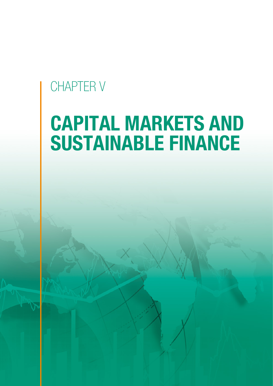# CHAPTER V

# CAPITAL MARKETS AND SUSTAINABLE FINANCE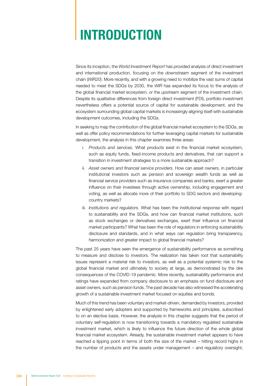# INTRODUCTION

Since its inception, the *World Investment Report* has provided analysis of direct investment and international production, focusing on the *downstream* segment of the investment chain (*WIR20*). More recently, and with a growing need to mobilize the vast sums of capital needed to meet the SDGs by 2030, the *WIR* has expanded its focus to the analysis of the global financial market ecosystem, or the *upstream* segment of the investment chain. Despite its qualitative differences from foreign direct investment (FDI), portfolio investment nevertheless offers a potential source of capital for sustainable development, and the ecosystem surrounding global capital markets is increasingly aligning itself with sustainable development outcomes, including the SDGs.

In seeking to map the contribution of the global financial market ecosystem to the SDGs, as well as offer policy recommendations for further leveraging capital markets for sustainable development, the analysis in this chapter examines three areas:

- i. *Products and services.* What products exist in the financial market ecosystem, such as equity funds, fixed-income products and derivatives, that can support a transition in investment strategies to a more sustainable approach?
- ii. *Asset owners and financial service providers.* How can asset owners, in particular institutional investors such as pension and sovereign wealth funds as well as financial service providers such as insurance companies and banks, exert a greater influence on their investees through active ownership, including engagement and voting, as well as allocate more of their portfolio to SDG sectors and developingcountry markets?
- iii. *Institutions and regulators.* What has been the institutional response with regard to sustainability and the SDGs, and how can financial market institutions, such as stock exchanges or derivatives exchanges, exert their influence on financial market participants? What has been the role of regulators in enforcing sustainability disclosure and standards, and in what ways can regulation bring transparency, harmonization and greater impact to global financial markets?

The past 25 years have seen the emergence of sustainability performance as something to measure and disclose to investors. The realization has taken root that sustainability issues represent a material risk to investors, as well as a potential systemic risk to the global financial market and ultimately to society at large, as demonstrated by the dire consequences of the COVID-19 pandemic. More recently, sustainability performance and ratings have expanded from company disclosure to an emphasis on fund disclosure and asset owners, such as pension funds. The past decade has also witnessed the accelerating growth of a sustainable investment market focused on equities and bonds.

Much of this trend has been voluntary and market-driven, demanded by investors, provided by enlightened early adopters and supported by frameworks and principles, subscribed to on an elective basis. However, the analysis in this chapter suggests that the period of voluntary self-regulation is now transitioning towards a mandatory regulated sustainable investment market, which is likely to influence the future direction of the whole global financial market ecosystem. Already, the sustainable investment market appears to have reached a tipping point in terms of both the size of the market – hitting record highs in the number of products and the assets under management – and regulatory oversight,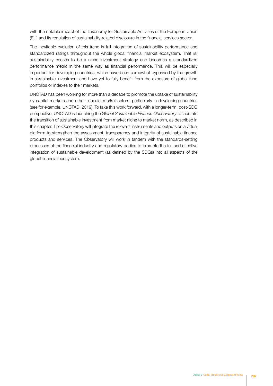with the notable impact of the Taxonomy for Sustainable Activities of the European Union (EU) and its regulation of sustainability-related disclosure in the financial services sector.

The inevitable evolution of this trend is full integration of sustainability performance and standardized ratings throughout the whole global financial market ecosystem. That is, sustainability ceases to be a niche investment strategy and becomes a standardized performance metric in the same way as financial performance. This will be especially important for developing countries, which have been somewhat bypassed by the growth in sustainable investment and have yet to fully benefit from the exposure of global fund portfolios or indexes to their markets.

UNCTAD has been working for more than a decade to promote the uptake of sustainability by capital markets and other financial market actors, particularly in developing countries (see for example, UNCTAD, 2019). To take this work forward, with a longer-term, post-SDG perspective, UNCTAD is launching the *Global Sustainable Finance Observatory* to facilitate the transition of sustainable investment from market niche to market norm, as described in this chapter. The Observatory will integrate the relevant instruments and outputs on a virtual platform to strengthen the assessment, transparency and integrity of sustainable finance products and services. The Observatory will work in tandem with the standards-setting processes of the financial industry and regulatory bodies to promote the full and effective integration of sustainable development (as defined by the SDGs) into all aspects of the global financial ecosystem.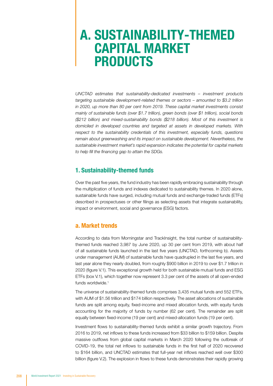### A. SUSTAINABILITY-THEMED CAPITAL MARKET PRODUCTS

*UNCTAD estimates that sustainability-dedicated investments – investment products targeting sustainable development-related themes or sectors – amounted to \$3.2 trillion in 2020, up more than 80 per cent from 2019. These capital market investments consist mainly of sustainable funds (over \$1.7 trillion), green bonds (over \$1 trillion), social bonds (\$212 billion) and mixed-sustainability bonds (\$218 billion). Most of this investment is domiciled in developed countries and targeted at assets in developed markets. With respect to the sustainability credentials of this investment, especially funds, questions remain about greenwashing and its impact on sustainable development. Nevertheless, the sustainable investment market's rapid expansion indicates the potential for capital markets to help fill the financing gap to attain the SDGs.*

#### 1. Sustainability-themed funds

Over the past five years, the fund industry has been rapidly embracing sustainability through the multiplication of funds and indexes dedicated to sustainability themes. In 2020 alone, sustainable funds have surged, including mutual funds and exchange-traded funds (ETFs) described in prospectuses or other filings as selecting assets that integrate sustainability, impact or environment, social and governance (ESG) factors.

#### a. Market trends

According to data from Morningstar and TrackInsight, the total number of sustainabilitythemed funds reached 3,987 by June 2020, up 30 per cent from 2019, with about half of all sustainable funds launched in the last five years (UNCTAD, forthcoming b). Assets under management (AUM) of sustainable funds have quadrupled in the last five years, and last year alone they nearly doubled, from roughly \$900 billion in 2019 to over \$1.7 trillion in 2020 (figure V.1). This exceptional growth held for both sustainable mutual funds and ESG ETFs (box V.1), which together now represent 3.3 per cent of the assets of all open-ended funds worldwide.<sup>1</sup>

The universe of sustainability-themed funds comprises 3,435 mutual funds and 552 ETFs, with AUM of \$1.56 trillion and \$174 billion respectively. The asset allocations of sustainable funds are split among equity, fixed-income and mixed allocation funds, with equity funds accounting for the majority of funds by number (62 per cent). The remainder are split equally between fixed-income (19 per cent) and mixed-allocation funds (19 per cent).

Investment flows to sustainability-themed funds exhibit a similar growth trajectory. From 2016 to 2019, net inflows to these funds increased from \$33 billion to \$159 billion. Despite massive outflows from global capital markets in March 2020 following the outbreak of COVID-19, the total net inflows to sustainable funds in the first half of 2020 recovered to \$164 billion, and UNCTAD estimates that full-year net inflows reached well over \$300 billion (figure V.2). The explosion in flows to these funds demonstrates their rapidly growing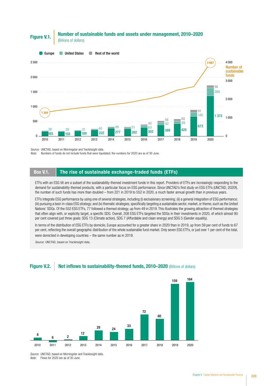#### Number of sustainable funds and assets under management, 2010–2020 **Figure V.1. Figure V.1. Example:** Of 30



*Source:* UNCTAD, based on Morningstar and TrackInsight data.

*Note:* Numbers of funds do not include funds that were liquidated; the numbers for 2020 are as of 30 June.

#### Box V.1. The rise of sustainable exchange-traded funds (ETFs)

ETFs with an ESG tilt are a subset of the sustainability-themed investment funds in this report. Providers of ETFs are increasingly responding to the demand for sustainability-themed products, with a particular focus on ESG performance. Since UNCTAD's first study on ESG ETFs (UNCTAD, 2020f), the number of such funds has more than doubled – from 221 in 2019 to 552 in 2020, a much faster annual growth than in previous years.

ETFs integrate ESG performance by using one of several strategies, including (i) exclusionary screening; (ii) a general integration of ESG performance; (iii) pursuing a best-in-class ESG strategy; and (iv) thematic strategies, specifically targeting a sustainable sector, market, or theme, such as the United Nations' SDGs. Of the 552 ESG ETFs, 77 followed a themed strategy, up from 49 in 2019. This illustrates the growing attraction of themed strategies that often align with, or explicitly target, a specific SDG. Overall, 208 ESG ETFs targeted the SDGs in their investments in 2020, of which almost 90 per cent covered just three goals: SDG 13 (Climate action), SDG 7 (Affordable and clean energy) and SDG 5 (Gender equality).

In terms of the distribution of ESG ETFs by domicile, Europe accounted for a greater share in 2020 than in 2019, up from 59 per cent of funds to 67 per cent, reflecting the overall geographic distribution of the whole sustainable fund market. Only seven ESG ETFs, or just over 1 per cent of the total, were domiciled in developing countries – the same number as in 2019.

*Source:* UNCTAD, based on TrackInsight data.

#### **Figure V.2.** Net inflows to sustainability-themed funds, 2010–2020 (Billions of dollars)



*Source:* UNCTAD, based on Morningstar and TrackInsight data. *Note:* Flows for 2020 are as of 30 June.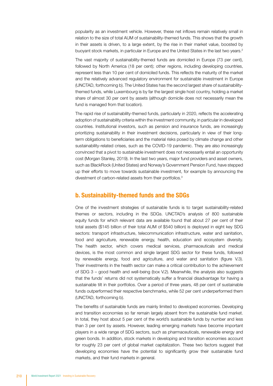popularity as an investment vehicle. However, these net inflows remain relatively small in relation to the size of total AUM of sustainability-themed funds. This shows that the growth in their assets is driven, to a large extent, by the rise in their market value, boosted by buoyant stock markets, in particular in Europe and the United States in the last two years.2

The vast majority of sustainability-themed funds are domiciled in Europe (73 per cent), followed by North America (18 per cent); other regions, including developing countries, represent less than 10 per cent of domiciled funds. This reflects the maturity of the market and the relatively advanced regulatory environment for sustainable investment in Europe (UNCTAD, forthcoming b). The United States has the second largest share of sustainabilitythemed funds, while Luxembourg is by far the largest single host country, holding a market share of almost 30 per cent by assets (although domicile does not necessarily mean the fund is managed from that location).

The rapid rise of sustainability-themed funds, particularly in 2020, reflects the accelerating adoption of sustainability criteria within the investment community, in particular in developed countries. Institutional investors, such as pension and insurance funds, are increasingly prioritizing sustainability in their investment decisions, particularly in view of their longterm obligations to beneficiaries and the material risks posed by climate change and other sustainability-related crises, such as the COVID-19 pandemic. They are also increasingly convinced that a pivot to sustainable investment does not necessarily entail an opportunity cost (Morgan Stanley, 2019). In the last two years, major fund providers and asset owners, such as BlackRock (United States) and Norway's Government Pension Fund, have stepped up their efforts to move towards sustainable investment, for example by announcing the divestment of carbon-related assets from their portfolios.3

#### b. Sustainability-themed funds and the SDGs

One of the investment strategies of sustainable funds is to target sustainability-related themes or sectors, including in the SDGs. UNCTAD's analysis of 800 sustainable equity funds for which relevant data are available found that about 27 per cent of their total assets (\$145 billion of their total AUM of \$540 billion) is deployed in eight key SDG sectors: transport infrastructure, telecommunication infrastructure, water and sanitation, food and agriculture, renewable energy, health, education and ecosystem diversity. The health sector, which covers medical services, pharmaceuticals and medical devices, is the most common and single largest SDG sector for these funds, followed by renewable energy, food and agriculture, and water and sanitation (figure V.3). Their investments in the health sector can make a critical contribution to the achievement of SDG 3 – good health and well-being (box V.2). Meanwhile, the analysis also suggests that the funds' returns did not systematically suffer a financial disadvantage for having a sustainable tilt in their portfolios. Over a period of three years, 48 per cent of sustainable funds outperformed their respective benchmarks, while 52 per cent underperformed them (UNCTAD, forthcoming b).

The benefits of sustainable funds are mainly limited to developed economies. Developing and transition economies so far remain largely absent from the sustainable fund market. In total, they host about 5 per cent of the world's sustainable funds by number and less than 3 per cent by assets. However, leading emerging markets have become important players in a wide range of SDG sectors, such as pharmaceuticals, renewable energy and green bonds. In addition, stock markets in developing and transition economies account for roughly 23 per cent of global market capitalization. These two factors suggest that developing economies have the potential to significantly grow their sustainable fund markets, and their fund markets in general.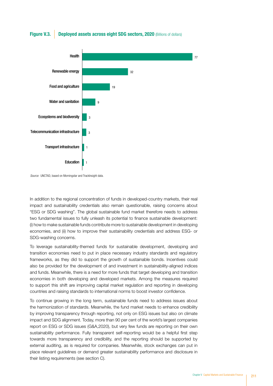Figure V.3. Deployed assets across eight SDG sectors, 2020 (Billions of dollars)



*Source:* UNCTAD, based on Morningstar and TrackInsight data.

In addition to the regional concentration of funds in developed-country markets, their real impact and sustainability credentials also remain questionable, raising concerns about "ESG or SDG washing". The global sustainable fund market therefore needs to address two fundamental issues to fully unleash its potential to finance sustainable development: (i) how to make sustainable funds contribute more to sustainable development in developing economies, and (ii) how to improve their sustainability credentials and address ESG- or SDG-washing concerns.

To leverage sustainability-themed funds for sustainable development, developing and transition economies need to put in place necessary industry standards and regulatory frameworks, as they did to support the growth of sustainable bonds. Incentives could also be provided for the development of and investment in sustainability-aligned indices and funds. Meanwhile, there is a need for more funds that target developing and transition economies in both developing and developed markets. Among the measures required to support this shift are improving capital market regulation and reporting in developing countries and raising standards to international norms to boost investor confidence.

To continue growing in the long term, sustainable funds need to address issues about the harmonization of standards. Meanwhile, the fund market needs to enhance credibility by improving transparency through reporting, not only on ESG issues but also on climate impact and SDG alignment. Today, more than 90 per cent of the world's largest companies report on ESG or SDG issues (G&A,2020), but very few funds are reporting on their own sustainability performance. Fully transparent self-reporting would be a helpful first step towards more transparency and credibility, and the reporting should be supported by external auditing, as is required for companies. Meanwhile, stock exchanges can put in place relevant guidelines or demand greater sustainability performance and disclosure in their listing requirements (see section C).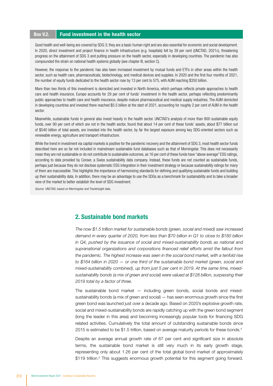#### Box V.2. Fund investment in the health sector

Good health and well-being are covered by SDG 3; they are a basic human right and are also essential for economic and social development. In 2020, direct investment and project finance in health infrastructure (e.g. hospitals) fell by 39 per cent (UNCTAD, 2021c), threatening progress on the attainment of SDG 3 and putting pressure on the health sector, especially in developing countries. The pandemic has also compounded the strain on national health systems globally (see chapter III, section C).

However, the response to the pandemic has also been increased investment by mutual funds and ETFs in other areas within the health sector, such as health care, pharmaceuticals, biotechnology, and medical devices and supplies. In 2020 and the first four months of 2021, the number of equity funds dedicated to the health sector rose by 13 per cent to 575, with AUM reaching \$350 billion.

More than two thirds of this investment is domiciled and invested in North America, which perhaps reflects private approaches to health care and health insurance. Europe accounts for 29 per cent of funds' investment in the health sector, perhaps reflecting predominantly public approaches to health care and health insurance, despite mature pharmaceutical and medical supply industries. The AUM domiciled in developing countries and invested there reached \$5.5 billion at the start of 2021, accounting for roughly 2 per cent of AUM in the health sector.

Meanwhile, sustainable funds in general also invest heavily in the health sector. UNCTAD's analysis of more than 800 sustainable equity funds, over 90 per cent of which are not in the health sector, found that about 14 per cent of these funds' assets, about \$77 billion out of \$540 billion of total assets, are invested into the health sector, by far the largest exposure among key SDG-oriented sectors such as renewable energy, agriculture and transport infrastructure.

While the trend in investment via capital markets is positive for the pandemic recovery and the attainment of SDG 3, most health sector funds described here are so far not included in mainstream sustainable fund databases such as that of Morningstar. This does not necessarily mean they are not sustainable or do not contribute to sustainable outcomes, as 16 per cent of these funds have "above average" ESG ratings, according to data provided by Conser, a Swiss sustainability data company. Instead, these funds are not counted as sustainable funds, perhaps just because they do not disclose systematic ESG integration in their investment strategy or because sustainability ratings for many of them are inaccessible. This highlights the importance of harmonizing standards for defining and qualifying sustainable funds and building up their sustainability data. In addition, there may be an advantage to use the SDGs as a benchmark for sustainability and to take a broader view of the market to better establish the level of SDG investment.

*Source:* UNCTAD, based on Morningstar and TrackInsight data.

#### 2. Sustainable bond markets

*The now \$1.5 trillion market for sustainable bonds (green, social and mixed) saw increased demand in every quarter of 2020, from less than \$70 billion in Q1 to close to \$180 billion in Q4, pushed by the issuance of social and mixed-sustainability bonds as national and supranational organizations and corporations financed relief efforts amid the fallout from the pandemic. The highest increase was seen in the social bond market, with a tenfold rise to \$164 billion in 2020 — or one third of the sustainable bond market (green, social and mixed-sustainability combined), up from just 5 per cent in 2019. At the same time, mixedsustainability bonds (a mix of green and social) were valued at \$128 billion, surpassing their 2019 total by a factor of three.* 

The sustainable bond market — including green bonds, social bonds and mixedsustainability bonds (a mix of green and social) — has seen enormous growth since the first green bond was launched just over a decade ago. Based on 2020's explosive growth rate, social and mixed-sustainability bonds are rapidly catching up with the green bond segment (long the leader in this area) and becoming increasingly popular tools for financing SDG related activities. Cumulatively the total amount of outstanding sustainable bonds since 2015 is estimated to be \$1.5 trillion, based on average maturity periods for these bonds.4

Despite an average annual growth rate of 67 per cent and significant size in absolute terms, the sustainable bond market is still very much in its early growth stage, representing only about 1.26 per cent of the total global bond market of approximately \$119 trillion.<sup>5</sup> This suggests enormous growth potential for this segment going forward.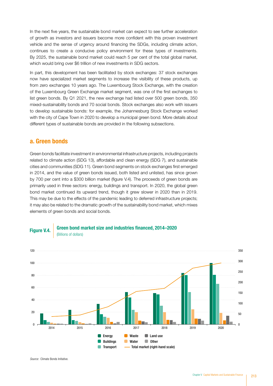In the next five years, the sustainable bond market can expect to see further acceleration of growth as investors and issuers become more confident with this proven investment vehicle and the sense of urgency around financing the SDGs, including climate action, continues to create a conducive policy environment for these types of investments. By 2025, the sustainable bond market could reach 5 per cent of the total global market, which would bring over \$6 trillion of new investments in SDG sectors.

In part, this development has been facilitated by stock exchanges: 37 stock exchanges now have specialized market segments to increase the visibility of these products, up from zero exchanges 10 years ago. The Luxembourg Stock Exchange, with the creation of the Luxembourg Green Exchange market segment, was one of the first exchanges to list green bonds. By Q1 2021, the new exchange had listed over 500 green bonds, 350 mixed-sustainability bonds and 70 social bonds. Stock exchanges also work with issuers to develop sustainable bonds: for example, the Johannesburg Stock Exchange worked with the city of Cape Town in 2020 to develop a municipal green bond. More details about different types of sustainable bonds are provided in the following subsections.

#### a. Green bonds

Green bonds facilitate investment in environmental infrastructure projects, including projects related to climate action (SDG 13), affordable and clean energy (SDG 7), and sustainable cities and communities (SDG 11). Green bond segments on stock exchanges first emerged in 2014, and the value of green bonds issued, both listed and unlisted, has since grown by 700 per cent into a \$300 billion market (figure V.4). The proceeds of green bonds are primarily used in three sectors: energy, buildings and transport. In 2020, the global green bond market continued its upward trend, though it grew slower in 2020 than in 2019. This may be due to the effects of the pandemic leading to deferred infrastructure projects; it may also be related to the dramatic growth of the sustainability bond market, which mixes elements of green bonds and social bonds.

#### Green bond market size and industries financed, 2014–2020 **Figure V.4. Gillions of dollars**



*Source:* Climate Bonds Initiative.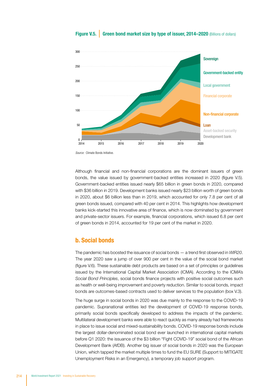

#### Figure V.5. Green bond market size by type of issuer, 2014–2020 (Billions of dollars)

*Source:* Climate Bonds Initiative.

Although financial and non-financial corporations are the dominant issuers of green bonds, the value issued by government-backed entities increased in 2020 (figure V.5). Government-backed entities issued nearly \$65 billion in green bonds in 2020, compared with \$36 billion in 2019. Development banks issued nearly \$23 billion worth of green bonds in 2020, about \$6 billion less than in 2019, which accounted for only 7.8 per cent of all green bonds issued, compared with 40 per cent in 2014. This highlights how development banks kick-started this innovative area of finance, which is now dominated by government and private-sector issuers. For example, financial corporations, which issued 6.8 per cent of green bonds in 2014, accounted for 19 per cent of the market in 2020.

#### b. Social bonds

The pandemic has boosted the issuance of social bonds — a trend first observed in *WIR20*. The year 2020 saw a jump of over 900 per cent in the value of the social bond market (figure V.6). These sustainable debt products are based on a set of principles or guidelines issued by the International Capital Market Association (ICMA). According to the ICMA's *Social Bond Principles*, social bonds finance projects with positive social outcomes such as health or well-being improvement and poverty reduction. Similar to social bonds, impact bonds are outcomes-based contracts used to deliver services to the population (box V.3).

The huge surge in social bonds in 2020 was due mainly to the response to the COVID-19 pandemic. Supranational entities led the development of COVID-19 response bonds, primarily social bonds specifically developed to address the impacts of the pandemic. Multilateral development banks were able to react quickly as many already had frameworks in place to issue social and mixed-sustainability bonds. COVID-19 response bonds include the largest dollar-denominated social bond ever launched in international capital markets before Q1 2020: the issuance of the \$3 billion "Fight COVID-19" social bond of the African Development Bank (AfDB). Another big issuer of social bonds in 2020 was the European Union, which tapped the market multiple times to fund the EU SURE (Support to MITIGATE Unemployment Risks in an Emergency), a temporary job support program.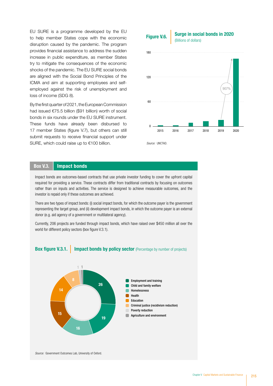EU SURE is a programme developed by the EU to help member States cope with the economic disruption caused by the pandemic. The program provides financial assistance to address the sudden increase in public expenditure, as member States try to mitigate the consequences of the economic shocks of the pandemic. The EU SURE social bonds are aligned with the Social Bond Principles of the ICMA and aim at supporting employees and selfemployed against the risk of unemployment and loss of income (SDG 8).

By the first quarter of 2021, the European Commission had issued €75.5 billion (\$91 billion) worth of social bonds in six rounds under the EU SURE instrument. These funds have already been disbursed to 17 member States (figure V.7), but others can still submit requests to receive financial support under SURE, which could raise up to €100 billion.



*Source:* UNCTAD.

#### Box V.3. | Impact bonds

Impact bonds are outcomes-based contracts that use private investor funding to cover the upfront capital required for providing a service. These contracts differ from traditional contracts by focusing on outcomes rather than on inputs and activities. The service is designed to achieve measurable outcomes, and the investor is repaid only if these outcomes are achieved.

There are two types of impact bonds: (i) social impact bonds, for which the outcome payer is the government representing the target group, and (ii) development impact bonds, in which the outcome payer is an external donor (e.g. aid agency of a government or multilateral agency).

Currently, 206 projects are funded through impact bonds, which have raised over \$450 million all over the world for different policy sectors (box figure V.3.1).



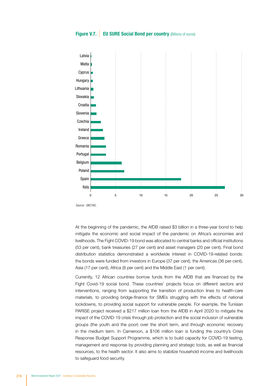#### **Figure V.7.** EU SURE Social Bond per country (Billions of euros)



*Source:* UNCTAD.

At the beginning of the pandemic, the AfDB raised \$3 billion in a three-year bond to help mitigate the economic and social impact of the pandemic on Africa's economies and livelihoods. The Fight COVID-19 bond was allocated to central banks and official institutions (53 per cent), bank treasuries (27 per cent) and asset managers (20 per cent). Final bond distribution statistics demonstrated a worldwide interest in COVID-19-related bonds: the bonds were funded from investors in Europe (37 per cent), the Americas (36 per cent), Asia (17 per cent), Africa (8 per cent) and the Middle East (1 per cent).

Currently, 12 African countries borrow funds from the AfDB that are financed by the Fight Covid-19 social bond. These countries' projects focus on different sectors and interventions, ranging from supporting the transition of production lines to health-care materials, to providing bridge-finance for SMEs struggling with the effects of national lockdowns, to providing social support for vulnerable people. For example, the Tunisian PARISE project received a \$217 million loan from the AfDB in April 2020 to mitigate the impact of the COVID-19 crisis through job protection and the social inclusion of vulnerable groups (the youth and the poor) over the short term, and through economic recovery in the medium term. In Cameroon, a \$106 million loan is funding the country's Crisis Response Budget Support Programme, which is to build capacity for COVID-19 testing, management and response by providing planning and strategic tools, as well as financial resources, to the health sector. It also aims to stabilize household income and livelihoods to safeguard food security.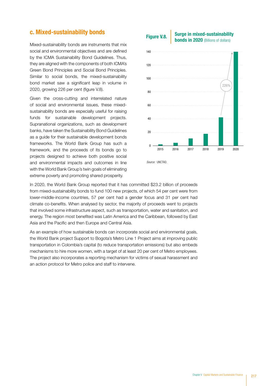#### c. Mixed-sustainability bonds

Mixed-sustainability bonds are instruments that mix social and environmental objectives and are defined by the ICMA Sustainability Bond Guidelines. Thus, they are aligned with the components of both ICMA's Green Bond Principles and Social Bond Principles. Similar to social bonds, the mixed-sustainability bond market saw a significant leap in volume in 2020, growing 226 per cent (figure V.8).

Given the cross-cutting and interrelated nature of social and environmental issues, these mixedsustainability bonds are especially useful for raising funds for sustainable development projects. Supranational organizations, such as development banks, have taken the Sustainability Bond Guidelines as a guide for their sustainable development bonds frameworks. The World Bank Group has such a framework, and the proceeds of its bonds go to projects designed to achieve both positive social and environmental impacts and outcomes in line with the World Bank Group's twin goals of eliminating extreme poverty and promoting shared prosperity.

#### 226%  $20$ 40 60 80 100 120 140 Surge in mixed-sustainability **Figure V.8.** Surve in Inized-Sustaniability<br>**bonds in 2020** (Billions of dollars)

0 2015 2016 2017 2018 2019 2020

*Source:* UNCTAD.

In 2020, the World Bank Group reported that it has committed \$23.2 billion of proceeds from mixed-sustainability bonds to fund 100 new projects, of which 54 per cent were from lower-middle-income countries, 57 per cent had a gender focus and 31 per cent had climate co-benefits. When analysed by sector, the majority of proceeds went to projects that involved some infrastructure aspect, such as transportation, water and sanitation, and energy. The region most benefited was Latin America and the Caribbean, followed by East Asia and the Pacific and then Europe and Central Asia.

As an example of how sustainable bonds can incorporate social and environmental goals, the World Bank project Support to Bogota's Metro Line 1 Project aims at improving public transportation in Colombia's capital (to reduce transportation emissions) but also embeds mechanisms to hire more women, with a target of at least 20 per cent of Metro employees. The project also incorporates a reporting mechanism for victims of sexual harassment and an action protocol for Metro police and staff to intervene.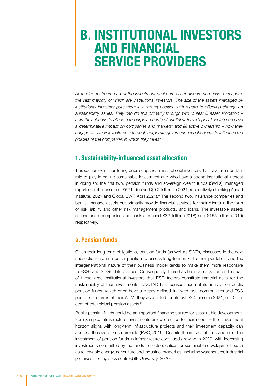### B. INSTITUTIONAL INVESTORS AND FINANCIAL SERVICE PROVIDERS

*At the far upstream end of the investment chain are asset owners and asset managers, the vast majority of which are institutional investors. The size of the assets managed by*  institutional investors puts them in a strong position with regard to effecting change on *sustainability issues. They can do this primarily through two routes: (i) asset allocation – how they choose to allocate the large amounts of capital at their disposal, which can have a determinative impact on companies and markets; and (ii) active ownership – how they engage with their investments through corporate governance mechanisms to influence the policies of the companies in which they invest.* 

#### 1. Sustainability-influenced asset allocation

This section examines four groups of upstream institutional investors that have an important role to play in driving sustainable investment and who have a strong institutional interest in doing so: the first two, pension funds and sovereign wealth funds (SWFs), managed reported global assets of \$52 trillion and \$9.2 trillion, in 2021, respectively (Thinking Ahead Institute, 2021 and Global SWF, April 2021).<sup>6</sup> The second two, insurance companies and banks, manage assets but primarily provide financial services for their clients in the form of risk liability and other risk management products, and loans. The investable assets of insurance companies and banks reached \$32 trillion (2018) and \$155 trillion (2019) respectively.7

#### a. Pension funds

Given their long-term obligations, pension funds (as well as SWFs, discussed in the next subsection) are in a better position to assess long-term risks to their portfolios, and the intergenerational nature of their business model tends to make them more responsive to ESG- and SDG-related issues. Consequently, there has been a realization on the part of these large institutional investors that ESG factors constitute material risks for the sustainability of their investments. UNCTAD has focused much of its analysis on public pension funds, which often have a clearly defined link with local communities and ESG priorities. In terms of their AUM, they accounted for almost \$20 trillion in 2021, or 40 per cent of total global pension assets.<sup>8</sup>

Public pension funds could be an important financing source for sustainable development. For example, infrastructure investments are well suited to their needs – their investment horizon aligns with long-term infrastructure projects and their investment capacity can address the size of such projects (PwC, 2016). Despite the impact of the pandemic, the investment of pension funds in infrastructure continued growing in 2020, with increasing investments committed by the funds to sectors critical for sustainable development, such as renewable energy, agriculture and industrial properties (including warehouses, industrial premises and logistics centres) (IE University, 2020).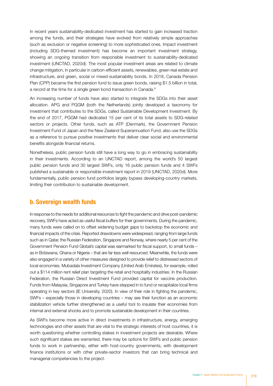In recent years sustainability-dedicated investment has started to gain increased traction among the funds, and their strategies have evolved from relatively simple approaches (such as exclusion or negative screening) to more sophisticated ones. Impact investment (including SDG-themed investment) has become an important investment strategy, showing an ongoing transition from responsible investment to sustainability-dedicated investment (UNCTAD, 2020d). The most popular investment areas are related to climate change mitigation, in particular in carbon-efficient assets, renewables, green real estate and infrastructure, and green, social or mixed-sustainability bonds. In 2018, Canada Pension Plan (CPP) became the first pension fund to issue green bonds, raising \$1.5 billion in total, a record at the time for a single green bond transaction in Canada.<sup>9</sup>

An increasing number of funds have also started to integrate the SDGs into their asset allocation. APG and PGGM (both the Netherlands) jointly developed a taxonomy for investment that contributes to the SDGs, called Sustainable Development Investment. By the end of 2017, PGGM had dedicated 15 per cent of its total assets to SDG-related sectors or projects. Other funds, such as ATP (Denmark), the Government Pension Investment Fund of Japan and the New Zealand Superannuation Fund, also use the SDGs as a reference to pursue positive investments that deliver clear social and environmental benefits alongside financial returns.

Nonetheless, public pension funds still have a long way to go in embracing sustainability in their investments. According to an UNCTAD report, among the world's 50 largest public pension funds and 30 largest SWFs, only 16 public pension funds and 4 SWFs published a sustainable or responsible investment report in 2019 (UNCTAD, 2020d). More fundamentally, public pension fund portfolios largely bypass developing-country markets, limiting their contribution to sustainable development.

#### b. Sovereign wealth funds

In response to the needs for additional resources to fight the pandemic and drive post-pandemic recovery, SWFs have acted as useful fiscal buffers for their governments. During the pandemic, many funds were called on to offset widening budget gaps to backstop the economic and financial impacts of the crisis. Reported drawdowns were widespread, ranging from large funds such as in Qatar, the Russian Federation, Singapore and Norway, where nearly 5 per cent of the Government Pension Fund Global's capital was earmarked for fiscal support, to small funds – as in Botswana, Ghana or Nigeria – that are far less well resourced. Meanwhile, the funds were also engaged in a variety of other measures designed to provide relief to distressed sectors of local economies. Mubadala Investment Company (United Arab Emirates), for example, rolled out a \$114 million rent relief plan targeting the retail and hospitality industries. In the Russian Federation, the Russian Direct Investment Fund provided capital for vaccine production. Funds from Malaysia, Singapore and Turkey have stepped in to fund or recapitalize local firms operating in key sectors (IE University, 2020). In view of their role in fighting the pandemic, SWFs – especially those in developing countries – may see their function as an economic stabilization vehicle further strengthened as a useful tool to insulate their economies from internal and external shocks and to promote sustainable development in their countries.

As SWFs become more active in direct investments in infrastructure, energy, emerging technologies and other assets that are vital to the strategic interests of host countries, it is worth questioning whether controlling stakes in investment projects are desirable. Where such significant stakes are warranted, there may be options for SWFs and public pension funds to work in partnership, either with host-country governments, with development finance institutions or with other private-sector investors that can bring technical and managerial competencies to the project.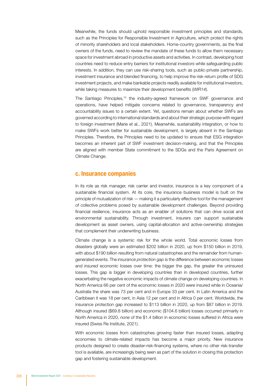Meanwhile, the funds should uphold responsible investment principles and standards, such as the Principles for Responsible Investment in Agriculture, which protect the rights of minority shareholders and local stakeholders. Home-country governments, as the final owners of the funds, need to review the mandate of these funds to allow them necessary space for investment abroad in productive assets and activities. In contrast, developing host countries need to reduce entry barriers for institutional investors while safeguarding public interests. In addition, they can use risk-sharing tools, such as public-private partnership, investment insurance and blended financing, to help improve the risk-return profile of SDG investment projects, and make bankable projects readily available for institutional investors, while taking measures to maximize their development benefits (*WIR14*).

The Santiago Principles,<sup>10</sup> the industry-agreed framework on SWF governance and operations, have helped mitigate concerns related to governance, transparency and accountability issues to a certain extent. Yet, questions remain about whether SWFs are governed according to international standards and about their strategic purpose with regard to foreign investment (Marie et al., 2021). Meanwhile, sustainability integration, or how to make SWFs work better for sustainable development, is largely absent in the Santiago Principles. Therefore, the Principles need to be updated to ensure that ESG integration becomes an inherent part of SWF investment decision-making, and that the Principles are aligned with member State commitment to the SDGs and the Paris Agreement on Climate Change.

#### c. Insurance companies

In its role as risk manager, risk carrier and investor, insurance is a key component of a sustainable financial system. At its core, the insurance business model is built on the principle of mutualization of risk — making it a particularly effective tool for the management of collective problems posed by sustainable development challenges. Beyond providing financial resilience, insurance acts as an enabler of solutions that can drive social and environmental sustainability. Through investment, insurers can support sustainable development as asset owners, using capital-allocation and active-ownership strategies that complement their underwriting business.

Climate change is a systemic risk for the whole world. Total economic losses from disasters globally were an estimated \$202 billion in 2020, up from \$150 billion in 2019, with about \$190 billion resulting from natural catastrophes and the remainder from humangenerated events. The *insurance protection gap* is the difference between economic losses and *insured* economic losses over time: the bigger the gap, the greater the uninsured losses. This gap is bigger in developing countries than in developed countries, further exacerbating the negative economic impacts of climate change on developing countries. In North America 66 per cent of the economic losses in 2020 were insured while in Oceania/ Australia the share was 73 per cent and in Europe 33 per cent. In Latin America and the Caribbean it was 18 per cent, in Asia 12 per cent and in Africa 0 per cent. Worldwide, the insurance protection gap increased to \$113 billion in 2020, up from \$87 billion in 2019. Although insured (\$69.8 billion) and economic (\$104.6 billion) losses occurred primarily in North America in 2020, *none* of the \$1.4 billion in economic losses suffered in Africa were insured (Swiss Re Institute, 2021).

With economic losses from catastrophes growing faster than insured losses, adapting economies to climate-related impacts has become a major priority. New insurance products designed to create disaster-risk-financing systems, where no other risk-transfer tool is available, are increasingly being seen as part of the solution in closing this protection gap and fostering sustainable development.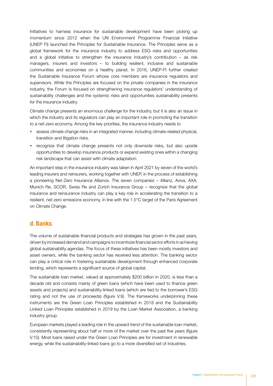Initiatives to harness insurance for sustainable development have been picking up momentum since 2012 when the UN Environment Programme Financial Initiative (UNEP FI) launched the Principles for Sustainable Insurance. The Principles serve as a global framework for the insurance industry to address ESG risks and opportunities and a global initiative to strengthen the insurance industry's contribution – as risk managers, insurers and investors – to building resilient, inclusive and sustainable communities and economies on a healthy planet. In 2016, UNEP-FI further created the Sustainable Insurance Forum whose core members are insurance regulators and supervisors. While the Principles are focused on the private companies in the insurance industry, the Forum is focused on strengthening insurance regulators' understanding of sustainability challenges and the systemic risks and opportunities sustainability presents for the insurance industry.

Climate change presents an enormous challenge for the industry, but it is also an issue in which the industry and its regulators can play an important role in promoting the transition to a net-zero economy. Among the key priorities, the insurance industry needs to

- assess climate change risks in an integrated manner, including climate-related physical, transition and litigation risks.
- recognize that climate change presents not only downside risks, but also upside opportunities to develop insurance products or expand existing ones within a changing risk landscape that can assist with climate adaptation.

An important step in the insurance industry was taken in April 2021 by seven of the world's leading insurers and reinsurers, working together with UNEP, in the process of establishing a pioneering Net-Zero Insurance Alliance. The seven companies – Allianz, Aviva, AXA, Munich Re, SCOR, Swiss Re and Zurich Insurance Group – recognize that the global insurance and reinsurance industry can play a key role in accelerating the transition to a resilient, net-zero emissions economy, in line with the 1.5°C target of the Paris Agreement on Climate Change.

#### d. Banks

The volume of sustainable financial products and strategies has grown in the past years, driven by increased demand and campaigns to incentivize financial sector efforts in achieving global sustainability agendas. The focus of these initiatives has been mostly investors and asset owners, while the banking sector has received less attention. The banking sector can play a critical role in fostering sustainable development through enhanced corporate lending, which represents a significant source of global capital.

The sustainable loan market, valued at approximately \$200 billion in 2020, is less than a decade old and consists mainly of green loans (which have been used to finance green assets and projects) and sustainability-linked loans (which are tied to the borrower's ESG rating and not the use of proceeds) (figure V.9). The frameworks underpinning these instruments are the Green Loan Principles established in 2018 and the Sustainability Linked Loan Principles established in 2019 by the Loan Market Association, a banking industry group.

European markets played a leading role in the upward trend of the sustainable loan market, consistently representing about half or more of the market over the past five years (figure V.10). Most loans raised under the Green Loan Principles are for investment in renewable energy, while the sustainability-linked loans go to a more diversified set of industries.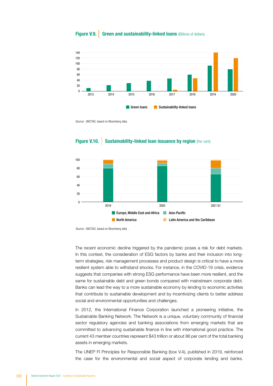

#### Figure V.9. Green and sustainability-linked loans (Billions of dollars)

*Source:* UNCTAD, based on Bloomberg data.

#### **Figure V.10.** Sustainability-linked loan issuance by region (Per cent)



*Source:* UNCTAD, based on Bloomberg data .

The recent economic decline triggered by the pandemic poses a risk for debt markets. In this context, the consideration of ESG factors by banks and their inclusion into longterm strategies, risk management processes and product design is critical to have a more resilient system able to withstand shocks. For instance, in the COVID-19 crisis, evidence suggests that companies with strong ESG performance have been more resilient, and the same for sustainable debt and green bonds compared with mainstream corporate debt. Banks can lead the way to a more sustainable economy by lending to economic activities that contribute to sustainable development and by incentivizing clients to better address social and environmental opportunities and challenges.

In 2012, the International Finance Corporation launched a pioneering initiative, the Sustainable Banking Network. The Network is a unique, voluntary community of financial sector regulatory agencies and banking associations from emerging markets that are committed to advancing sustainable finance in line with international good practice. The current 43 member countries represent \$43 trillion or about 86 per cent of the total banking assets in emerging markets.

The UNEP FI Principles for Responsible Banking (box V.4), published in 2019, reinforced the case for the environmental and social aspect of corporate lending and banks.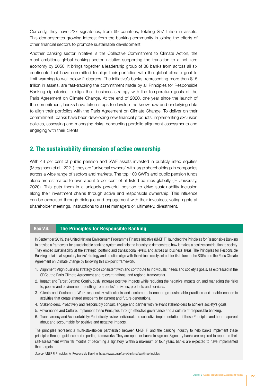Currently, they have 227 signatories, from 69 countries, totaling \$57 trillion in assets. This demonstrates growing interest from the banking community in joining the efforts of other financial sectors to promote sustainable development.

Another banking sector initiative is the Collective Commitment to Climate Action, the most ambitious global banking sector initiative supporting the transition to a net zero economy by 2050. It brings together a leadership group of 38 banks from across all six continents that have committed to align their portfolios with the global climate goal to limit warming to well below 2 degrees. The initiative's banks, representing more than \$15 trillion in assets, are fast-tracking the commitment made by all Principles for Responsible Banking signatories to align their business strategy with the temperature goals of the Paris Agreement on Climate Change. At the end of 2020, one year since the launch of the commitment, banks have taken steps to develop the know-how and underlying data to align their portfolios with the Paris Agreement on Climate Change. To deliver on their commitment, banks have been developing new financial products, implementing exclusion policies, assessing and managing risks, conducting portfolio alignment assessments and engaging with their clients.

#### 2. The sustainability dimension of active ownership

With 43 per cent of public pension and SWF assets invested in publicly listed equities (Megginson et al., 2021), they are "universal owners" with large shareholdings in companies across a wide range of sectors and markets. The top 100 SWFs and public pension funds alone are estimated to own about 5 per cent of all listed equities globally (IE University, 2020). This puts them in a uniquely powerful position to drive sustainability inclusion along their investment chains through active and responsible ownership. This influence can be exercised through dialogue and engagement with their investees, voting rights at shareholder meetings, instructions to asset managers or, ultimately, divestment.

#### Box V.4. The Principles for Responsible Banking

In September 2019, the United Nations Environment Programme Finance Initiative (UNEP FI) launched the Principles for Responsible Banking to provide a framework for a sustainable banking system and help the industry to demonstrate how it makes a positive contribution to society. They embed sustainability at the strategic, portfolio and transactional levels, and across all business areas. The Principles for Responsible Banking entail that signatory banks' strategy and practice align with the vision society set out for its future in the SDGs and the Paris Climate Agreement on Climate Change by following this six-point framework:

- 1. Alignment: Align business strategy to be consistent with and contribute to individuals' needs and society's goals, as expressed in the SDGs, the Paris Climate Agreement and relevant national and regional frameworks.
- 2. Impact and Target Setting: Continuously increase positive impacts while reducing the negative impacts on, and managing the risks to, people and environment resulting from banks' activities, products and services.
- 3. Clients and Customers: Work responsibly with clients and customers to encourage sustainable practices and enable economic activities that create shared prosperity for current and future generations.
- 4. Stakeholders: Proactively and responsibly consult, engage and partner with relevant stakeholders to achieve society's goals.
- 5. Governance and Culture: Implement these Principles through effective governance and a culture of responsible banking.
- 6. Transparency and Accountability: Periodically review individual and collective implementation of these Principles and be transparent about and accountable for positive and negative impacts.

The principles represent a multi-stakeholder partnership between UNEP FI and the banking industry to help banks implement these principles through guidance and reporting frameworks. They are open for banks to sign on. Signatory banks are required to report on their self-assessment within 18 months of becoming a signatory. Within a maximum of four years, banks are expected to have implemented their targets.

*Source:* UNEP FI Principles for Responsible Banking, https://www.unepfi.org/banking/bankingprinciples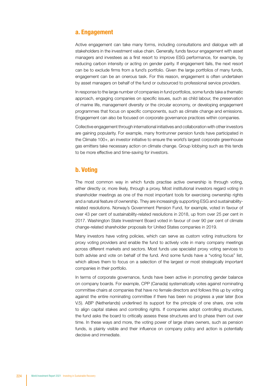#### a. Engagement

Active engagement can take many forms, including consultations and dialogue with all stakeholders in the investment value chain. Generally, funds favour engagement with asset managers and investees as a first resort to improve ESG performance, for example, by reducing carbon intensity or acting on gender parity. If engagement fails, the next resort can be to exclude firms from a fund's portfolio. Given the large portfolios of many funds, engagement can be an onerous task. For this reason, engagement is often undertaken by asset managers on behalf of the fund or outsourced to professional service providers.

In response to the large number of companies in fund portfolios, some funds take a thematic approach, engaging companies on specific issues, such as child labour, the preservation of marine life, management diversity or the circular economy, or developing engagement programmes that focus on specific components, such as climate change and emissions. Engagement can also be focused on corporate governance practices within companies.

Collective engagement through international initiatives and collaboration with other investors are gaining popularity. For example, many frontrunner pension funds have participated in the Climate 100+, an investor initiative to ensure the world's largest corporate greenhouse gas emitters take necessary action on climate change. Group lobbying such as this tends to be more effective and time-saving for investors.

#### b. Voting

The most common way in which funds practise active ownership is through voting, either directly or, more likely, through a proxy. Most institutional investors regard voting in shareholder meetings as one of the most important tools for exercising ownership rights and a natural feature of ownership. They are increasingly supporting ESG and sustainabilityrelated resolutions. Norway's Government Pension Fund, for example, voted in favour of over 43 per cent of sustainability-related resolutions in 2018, up from over 25 per cent in 2017. Washington State Investment Board voted in favour of over 90 per cent of climate change-related shareholder proposals for United States companies in 2019.

Many investors have voting policies, which can serve as custom voting instructions for proxy voting providers and enable the fund to actively vote in many company meetings across different markets and sectors. Most funds use specialist proxy voting services to both advise and vote on behalf of the fund. And some funds have a "voting focus" list, which allows them to focus on a selection of the largest or most strategically important companies in their portfolio.

In terms of corporate governance, funds have been active in promoting gender balance on company boards. For example, CPP (Canada) systematically votes against nominating committee chairs at companies that have no female directors and follows this up by voting against the entire nominating committee if there has been no progress a year later (box V.5). ABP (Netherlands) underlined its support for the principle of one share, one vote to align capital stakes and controlling rights. If companies adopt controlling structures, the fund asks the board to critically assess these structures and to phase them out over time. In these ways and more, the voting power of large share owners, such as pension funds, is plainly visible and their influence on company policy and action is potentially decisive and immediate.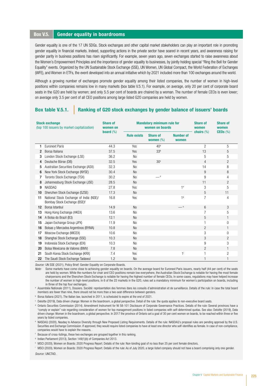#### Box V.5. Gender equality in boardrooms

Gender equality is one of the 17 UN SDGs. Stock exchanges and other capital market stakeholders can play an important role in promoting gender equality in financial markets. Indeed, supporting actions in the private sector have soared in recent years, and awareness raising for gender parity in business positions has risen significantly. For example, seven years ago, seven exchanges started to raise awareness about the Women's Empowerment Principles and the importance of gender equality to businesses, by jointly holding special "Ring the Bell for Gender Equality" events. Organized by the UN Sustainable Stock Exchange (SSE), UN Women, UN Global Compact, the World Federation of Exchanges (WFE), and Women in ETFs, the event developed into an annual initiative which by 2021 included more than 100 exchanges around the world.

Although a growing number of exchanges promote gender equality among their listed companies, the number of women in high-level positions within companies remains low in many markets (box table V.5.1). For example, on average, only 20 per cent of corporate board seats in the G20 are held by women; and only 5.5 per cent of boards are chaired by a woman. The number of female CEOs is even lower; on average only 3.5 per cent of all CEO positions among large listed G20 companies are held by women.

#### Box table V.5.1. Ranking of G20 stock exchanges by gender balance of issuers' boards

| <b>Stock exchange</b><br>(top 100 issuers by market capitalization) |                                                                         | <b>Share of</b><br>women on<br><b>board</b> $(\%)$ | <b>Mandatory minimum rule for</b><br>women on boards |                                 |                           | <b>Share of</b><br>women | <b>Share of</b><br>women |
|---------------------------------------------------------------------|-------------------------------------------------------------------------|----------------------------------------------------|------------------------------------------------------|---------------------------------|---------------------------|--------------------------|--------------------------|
|                                                                     |                                                                         |                                                    | <b>Rule exists</b>                                   | <b>Share of</b><br>women $(\%)$ | <b>Number of</b><br>women | chairs $(\%)$            | CEOs (%)                 |
| 1                                                                   | <b>Euronext Paris</b>                                                   | 44.3                                               | <b>Yes</b>                                           | 40 <sup>a</sup>                 |                           | $\overline{c}$           | 5                        |
| $\overline{2}$                                                      | Borsa Italiana                                                          | 37.5                                               | Yes                                                  | 33 <sup>b</sup>                 |                           | 13                       | 5                        |
| 3                                                                   | London Stock Exchange (LSE)                                             | 36.2                                               | <b>No</b>                                            |                                 |                           | 5                        | 5                        |
| 4                                                                   | Deutsche Börse (DB)                                                     | 32.5                                               | Yes                                                  | 30 <sup>c</sup>                 |                           | $\overline{4}$           | $\overline{c}$           |
| 5                                                                   | Australian Securities Exchange (ASX)                                    | 32.3                                               | <b>No</b>                                            |                                 |                           | 14                       | 8                        |
| 6                                                                   | New York Stock Exchange (NYSE)                                          | 30.4                                               | <b>No</b>                                            |                                 |                           | 9                        | 8                        |
| 7                                                                   | Toronto Stock Exchange (TSX)                                            | 30.2                                               | <b>No</b>                                            | $-$ <sup>d</sup>                |                           | 9                        | 4                        |
| 8                                                                   | Johannesburg Stock Exchange (JSE)                                       | 28.5                                               | <b>No</b>                                            |                                 |                           | 11                       | $\overline{2}$           |
| 9                                                                   | <b>NASDAQ</b>                                                           | 27.8                                               | Yes                                                  |                                 | 1 <sup>e</sup>            | 3                        | 5                        |
| 10                                                                  | Shenzhen Stock Exchange (SZSE)                                          | 17.3                                               | <b>No</b>                                            |                                 |                           | 5                        | 11                       |
| 11                                                                  | National Stock Exchange of India (NSE)/<br>Bombay Stock Exchange (BSE)f | 16.8                                               | Yes                                                  |                                 | 19                        | $\overline{7}$           | 4                        |
| 12                                                                  | Borsa Istanbul                                                          | 14.9                                               | <b>No</b>                                            |                                 | $-$ h                     | 6                        | 3                        |
| 13                                                                  | Hong Kong Exchange (HKEX)                                               | 13.6                                               | <b>No</b>                                            |                                 |                           | $\overline{7}$           | 5                        |
| 14                                                                  | A Bolsa do Brazil (B3)                                                  | 12.1                                               | <b>No</b>                                            |                                 |                           | 5                        | $\mathbf{1}$             |
| 15                                                                  | Japan Exchange Group (JPX)                                              | 11.9                                               | <b>No</b>                                            |                                 |                           | 1                        | $\Omega$                 |
| 16                                                                  | Bolsas y Mercados Argentinos (BYMA)                                     | 10.8                                               | <b>No</b>                                            |                                 |                           | $\overline{2}$           | $\mathbf{1}$             |
| 17                                                                  | Moscow Exchange (MICEX)                                                 | 10.6                                               | <b>No</b>                                            |                                 |                           | 3                        | $\Omega$                 |
| 18                                                                  | Shanghai Stock Exchange (SSE)                                           | 10.3                                               | <b>No</b>                                            |                                 |                           | 3                        | $\overline{2}$           |
| 19                                                                  | Indonesia Stock Exchange (IDX)                                          | 10.3                                               | <b>No</b>                                            |                                 |                           | 9                        | 3                        |
| 20                                                                  | Bolsa Mexicana de Valores (BMV)                                         | 7.8                                                | <b>No</b>                                            |                                 |                           | $\overline{c}$           | $\mathbf{1}$             |
| 21                                                                  | South Korea Stock Exchange (KRX)                                        | 7.4                                                | Yes                                                  |                                 | $1^{\mathrm{i}}$          | 1                        | 2                        |
| 22                                                                  | The Saudi Stock Exchange Tadawul                                        | 1.2                                                | <b>No</b>                                            |                                 |                           | 1                        |                          |

*Source:* UN SSE (2021), Policy Brief: Gender Equality on Corporate Boards.

*Note:* Some markets have come close to achieving gender equality on boards. On the average board for Euronext Paris issuers, nearly half (44 per cent) of the seats are held by women. While the numbers for chair and CEO positions remain low everywhere, the Australian Stock Exchange is notable for having the most female chairpersons and the Shenzhen Stock Exchange is notable for having the highest number of female CEOs. In some cases, regulations may have helped increase the number of women in high-level positions. In 6 of the 22 markets in the G20, rules set a mandatory minimum for women's participation on boards, including in three of the top four exchanges.

<sup>a</sup> Assemblée Nationale (2011), Dossiers. Société: représentation des femmes dans les conseils d'administration et de surveillance. Details of the rule: In case the total board members are fewer than nine, there should not be more than a two-seat difference between genders.

**b** Borsa Italiana (2021). The Italian law, launched in 2011, is scheduled to expire at the end of 2021.

<sup>c</sup> Deloitte (2019), Data driven change: Women in the boardroom, a global perspective. Detail of the rule: the quota applies to non-executive board seats.

<sup>d</sup> Ontario Securities Commission (2014). Amendment Instrument for NI 58-101 Disclosure of Corporate Governance Practices. Details of the rule: Several provinces have a "comply or explain" rule regarding consideration of women for top management positions in listed companies with self-determined quotas. See also: Deloitte (2019), Data driven change: Women in the boardroom, a global perspective. In 2017 the province of Ontario set a goal of 30 per cent women on boards, to be reached within three or five years by listed companies.

<sup>e</sup> NASDAQ (2020), Nasdaq to Advance Diversity through New Proposed Listing Requirements. Details of the rule: NASDAQ's proposal rules are pending approval by the U.S. Securities and Exchange Commission. If approved, they would require listed companies to have at least one director who self-identifies as female. In case of non-compliance, companies would have to explain the reasons.

<sup>f</sup> Because of cross-listings, these two exchanges are grouped together in this ranking.

<sup>g</sup> Indian Parliament (2013), Section 149(1)(b) of Companies Act 2013.

h MSCI (2020), Women on Boards: 2020 Progress Report. Details of the rule: Non-binding goal of no less than 25 per cent female directors.

i MSCI (2020), Women on Boards: 2020 Progress Report. Details of the rule: As of July 2020, a large listed company should not have a board comprising only one gender. *Source:* UNCTAD.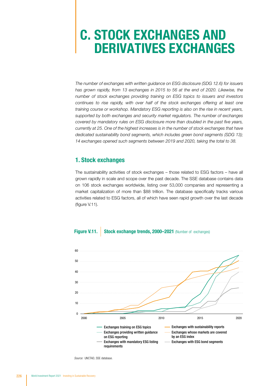## C. STOCK EXCHANGES AND DERIVATIVES EXCHANGES

*The number of exchanges with written guidance on ESG disclosure (SDG 12.6) for issuers has grown rapidly, from 13 exchanges in 2015 to 56 at the end of 2020. Likewise, the number of stock exchanges providing training on ESG topics to issuers and investors continues to rise rapidly, with over half of the stock exchanges offering at least one training course or workshop. Mandatory ESG reporting is also on the rise in recent years, supported by both exchanges and security market regulators. The number of exchanges covered by mandatory rules on ESG disclosure more than doubled in the past five years, currently at 25. One of the highest increases is in the number of stock exchanges that have dedicated sustainability bond segments, which includes green bond segments (SDG 13); 14 exchanges opened such segments between 2019 and 2020, taking the total to 38.*

#### 1. Stock exchanges

The sustainability activities of stock exchanges – those related to ESG factors – have all grown rapidly in scale and scope over the past decade. The SSE database contains data on 106 stock exchanges worldwide, listing over 53,000 companies and representing a market capitalization of more than \$88 trillion. The database specifically tracks various activities related to ESG factors, all of which have seen rapid growth over the last decade (figure V.11).

#### **Figure V.11.** Stock exchange trends. 2000–2021 (Number of exchanges)



*Source:* UNCTAD, SSE database.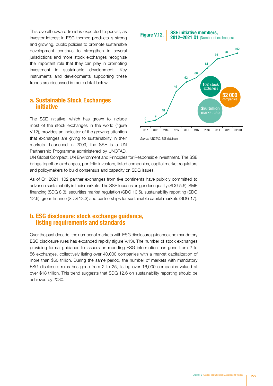This overall upward trend is expected to persist, as investor interest in ESG-themed products is strong and growing, public policies to promote sustainable development continue to strengthen in several jurisdictions and more stock exchanges recognize the important role that they can play in promoting investment in sustainable development. Key instruments and developments supporting these trends are discussed in more detail below.

#### a. Sustainable Stock Exchanges initiative

The SSE initiative, which has grown to include most of the stock exchanges in the world (figure V.12), provides an indicator of the growing attention that exchanges are giving to sustainability in their markets. Launched in 2009, the SSE is a UN Partnership Programme administered by UNCTAD,



*Source:* UNCTAD, SSE database.

UN Global Compact, UN Environment and Principles for Responsible Investment. The SSE brings together exchanges, portfolio investors, listed companies, capital market regulators and policymakers to build consensus and capacity on SDG issues.

As of Q1 2021, 102 partner exchanges from five continents have publicly committed to advance sustainability in their markets. The SSE focuses on gender equality (SDG 5.5), SME financing (SDG 8.3), securities market regulation (SDG 10.5), sustainability reporting (SDG 12.6), green finance (SDG 13.3) and partnerships for sustainable capital markets (SDG 17).

#### b. ESG disclosure: stock exchange guidance, listing requirements and standards

Over the past decade, the number of markets with ESG disclosure guidance and mandatory ESG disclosure rules has expanded rapidly (figure V.13). The number of stock exchanges providing formal guidance to issuers on reporting ESG information has gone from 2 to 56 exchanges, collectively listing over 40,000 companies with a market capitalization of more than \$50 trillion. During the same period, the number of markets with mandatory ESG disclosure rules has gone from 2 to 25, listing over 16,000 companies valued at over \$18 trillion. This trend suggests that SDG 12.6 on sustainability reporting should be achieved by 2030.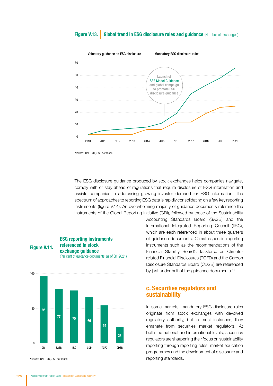#### Figure V.13. Global trend in ESG disclosure rules and guidance (Number of exchanges)



*Source:* UNCTAD, SSE database.

The ESG disclosure guidance produced by stock exchanges helps companies navigate, comply with or stay ahead of regulations that require disclosure of ESG information and assists companies in addressing growing investor demand for ESG information. The spectrum of approaches to reporting ESG data is rapidly consolidating on a few key reporting instruments (figure V.14). An overwhelming majority of guidance documents reference the

instruments of the Global Reporting Initiative (GRI), followed by those of the Sustainability

Figure V.14. ESG reporting instruments referenced in stock exchange guidance (Per cent of guidance documents, as of Q1 2021)



*Source:* UNCTAD, SSE database.

Accounting Standards Board (SASB) and the International Integrated Reporting Council (IIRC), which are each referenced in about three quarters of guidance documents. Climate-specific reporting instruments such as the recommendations of the Financial Stability Board's Taskforce on Climaterelated Financial Disclosures (TCFD) and the Carbon Disclosure Standards Board (CDSB) are referenced by just under half of the guidance documents.<sup>11</sup>

#### c. Securities regulators and sustainability

In some markets, mandatory ESG disclosure rules originate from stock exchanges with devolved regulatory authority, but in most instances, they emanate from securities market regulators. At both the national and international levels, securities regulators are sharpening their focus on sustainability reporting through reporting rules, market education programmes and the development of disclosure and reporting standards.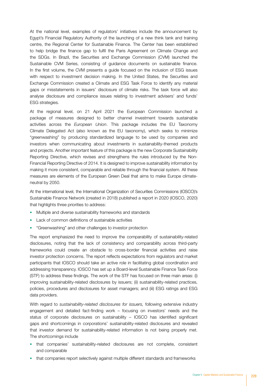At the national level, examples of regulators' initiatives include the announcement by Egypt's Financial Regulatory Authority of the launching of a new think tank and training centre, the Regional Center for Sustainable Finance. The Center has been established to help bridge the finance gap to fulfil the Paris Agreement on Climate Change and the SDGs. In Brazil, the Securities and Exchange Commission (CVM) launched the Sustainable CVM Series, consisting of guidance documents on sustainable finance. In the first volume, the CVM presents a guide focused on the inclusion of ESG issues with respect to investment decision making. In the United States, the Securities and Exchange Commission created a Climate and ESG Task Force to identify any material gaps or misstatements in issuers' disclosure of climate risks. The task force will also analyse disclosure and compliance issues relating to investment advisers' and funds' ESG strategies.

At the regional level, on 21 April 2021 the European Commission launched a package of measures designed to better channel investment towards sustainable activities across the *European Union*. This package includes the EU Taxonomy Climate Delegated Act (also known as the EU taxonomy), which seeks to minimize "greenwashing" by producing standardized language to be used by companies and investors when communicating about investments in sustainability-themed products and projects. Another important feature of this package is the new Corporate Sustainability Reporting Directive, which revises and strengthens the rules introduced by the Non-Financial Reporting Directive of 2014. It is designed to improve sustainability information by making it more consistent, comparable and reliable through the financial system. All these measures are elements of the European Green Deal that aims to make Europe climateneutral by 2050.

At the international level, the International Organization of Securities Commissions (IOSCO)'s Sustainable Finance Network (created in 2018) published a report in 2020 (IOSCO, 2020) that highlights three priorities to address:

- Multiple and diverse sustainability frameworks and standards
- Lack of common definitions of sustainable activities
- "Greenwashing" and other challenges to investor protection

The report emphasized the need to improve the comparability of sustainability-related disclosures, noting that the lack of consistency and comparability across third-party frameworks could create an obstacle to cross-border financial activities and raise investor protection concerns. The report reflects expectations from regulators and market participants that IOSCO should take an active role in facilitating global coordination and addressing transparency. IOSCO has set up a Board-level Sustainable Finance Task Force (STF) to address these findings. The work of the STF has focused on three main areas: (i) improving sustainability-related disclosures by issuers; (ii) sustainability-related practices, policies, procedures and disclosures for asset managers; and (iii) ESG ratings and ESG data providers.

With regard to *sustainability-related disclosures for issuers,* following extensive industry engagement and detailed fact-finding work – focusing on investors' needs and the status of corporate disclosures on sustainability – IOSCO has identified significant gaps and shortcomings in corporations' sustainability-related disclosures and revealed that investor demand for sustainability-related information is not being properly met. The shortcomings include

- that companies' sustainability-related disclosures are not complete, consistent and comparable
- that companies report selectively against multiple different standards and frameworks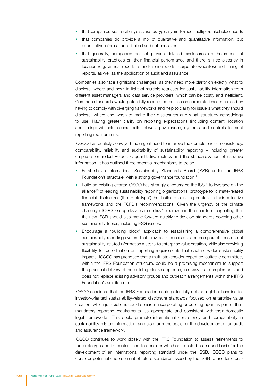- that companies' sustainability disclosures typically aim to meet multiple stakeholder needs
- that companies do provide a mix of qualitative and quantitative information, but quantitative information is limited and not consistent
- that generally, companies do not provide detailed disclosures on the impact of sustainability practices on their financial performance and there is inconsistency in location (e.g. annual reports, stand-alone reports, corporate websites) and timing of reports, as well as the application of audit and assurance

Companies also face significant challenges, as they need more clarity on exactly what to disclose, where and how, in light of multiple requests for sustainability information from different asset managers and data service providers, which can be costly and inefficient. Common standards would potentially reduce the burden on corporate issuers caused by having to comply with diverging frameworks and help to clarify for issuers what they should disclose, where and when to make their disclosures and what structure/methodology to use. Having greater clarity on reporting expectations (including content, location and timing) will help issuers build relevant governance, systems and controls to meet reporting requirements.

IOSCO has publicly conveyed the urgent need to improve the completeness, consistency, comparability, reliability and auditability of sustainability reporting – including greater emphasis on industry-specific quantitative metrics and the standardization of narrative information. It has outlined three potential mechanisms to do so:

- Establish an International Sustainability Standards Board (ISSB) under the IFRS Foundation's structure, with a strong governance foundation<sup>12</sup>
- Build on existing efforts: IOSCO has strongly encouraged the ISSB to leverage on the alliance13 of leading sustainability reporting organizations' [prototype](https://29kjwb3armds2g3gi4lq2sx1-wpengine.netdna-ssl.com/wp-content/uploads/Reporting-on-enterprise-value_climate-prototype_Dec20.pdf) for climate-related financial disclosures (the 'Prototype') that builds on existing content in their collective frameworks and the TCFD's recommendations. Given the urgency of the climate challenge, IOSCO supports a "climate first" approach in the near term, signalling that the new ISSB should also move forward quickly to develop standards covering other sustainability topics, including ESG issues.
- Encourage a "building block" approach to establishing a comprehensive global sustainability reporting system that provides a consistent and comparable baseline of sustainability-related information material to enterprise value creation, while also providing flexibility for coordination on reporting requirements that capture wider sustainability impacts. IOSCO has proposed that a multi-stakeholder expert consultative committee, within the IFRS Foundation structure, could be a promising mechanism to support the practical delivery of the building blocks approach, in a way that complements and does not replace existing advisory groups and outreach arrangements within the IFRS Foundation's architecture.

IOSCO considers that the IFRS Foundation could potentially deliver a global baseline for investor-oriented sustainability-related disclosure standards focused on enterprise value creation, which jurisdictions could consider incorporating or building upon as part of their mandatory reporting requirements, as appropriate and consistent with their domestic legal frameworks. This could promote international consistency and comparability in sustainability-related information, and also form the basis for the development of an audit and assurance framework.

IOSCO continues to work closely with the IFRS Foundation to assess refinements to the prototype and its content and to consider whether it could be a sound basis for the development of an international reporting standard under the ISSB. IOSCO plans to consider potential endorsement of future standards issued by the ISSB to use for cross-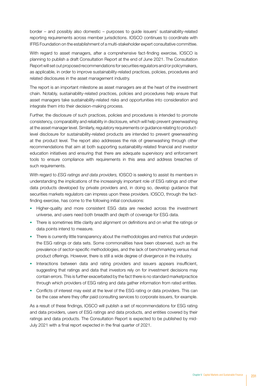border – and possibly also domestic – purposes to guide issuers' sustainability-related reporting requirements across member jurisdictions. IOSCO continues to coordinate with IFRS Foundation on the establishment of a multi-stakeholder expert consultative committee.

With regard to asset managers, after a comprehensive fact-finding exercise, IOSCO is planning to publish a draft Consultation Report at the end of June 2021. The Consultation Report will set out proposed recommendations for securities regulators and/or policymakers, as applicable, in order to improve sustainability-related practices, policies, procedures and related disclosures in the asset management industry.

The report is an important milestone as asset managers are at the heart of the investment chain. Notably, sustainability-related practices, policies and procedures help ensure that asset managers take sustainability-related risks and opportunities into consideration and integrate them into their decision-making process.

Further, the disclosure of such practices, policies and procedures is intended to promote consistency, comparability and reliability in disclosure, which will help prevent greenwashing at the asset manager level. Similarly, regulatory requirements or guidance relating to productlevel disclosure for sustainability-related products are intended to prevent greenwashing at the product level. The report also addresses the risk of greenwashing through other recommendations that aim at both supporting sustainability-related financial and investor education initiatives and ensuring that there are adequate supervisory and enforcement tools to ensure compliance with requirements in this area and address breaches of such requirements.

With regard to *ESG ratings and data providers,* IOSCO is seeking to assist its members in understanding the implications of the increasingly important role of ESG ratings and other data products developed by private providers and, in doing so, develop guidance that securities markets regulators can impress upon these providers. IOSCO, through the factfinding exercise, has come to the following initial conclusions:

- Higher-quality and more consistent ESG data are needed across the investment universe, and users need both breadth and depth of coverage for ESG data.
- There is sometimes little clarity and alignment on definitions and on what the ratings or data points intend to measure.
- There is currently little transparency about the methodologies and metrics that underpin the ESG ratings or data sets. Some commonalities have been observed, such as the prevalence of sector-specific methodologies, and the lack of benchmarking versus rival product offerings. However, there is still a wide degree of divergence in the industry.
- Interactions between data and rating providers and issuers appears insufficient, suggesting that ratings and data that investors rely on for investment decisions may contain errors. This is further exacerbated by the fact there is no standard marketpractice through which providers of ESG rating and data gather information from rated entities.
- Conflicts of interest may exist at the level of the ESG rating or data providers. This can be the case where they offer paid consulting services to corporate issuers, for example.

As a result of these findings, IOSCO will publish a set of recommendations for ESG rating and data providers, users of ESG ratings and data products, and entities covered by their ratings and data products. The Consultation Report is expected to be published by mid-July 2021 with a final report expected in the final quarter of 2021.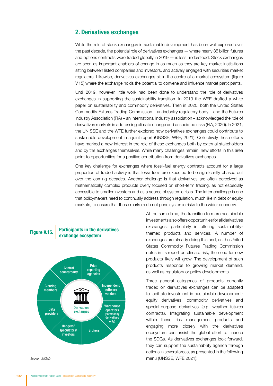#### 2. Derivatives exchanges

While the role of stock exchanges in sustainable development has been well explored over the past decade, the potential role of derivatives exchanges — where nearly 35 billion futures and options contracts were traded globally in 2019 — is less understood. Stock exchanges are seen as important enablers of change in as much as they are key market institutions sitting between listed companies and investors, and actively engaged with securities market regulators. Likewise, derivatives exchanges sit in the centre of a market ecosystem (figure V.15) where the exchange holds the potential to convene and influence market participants.

Until 2019, however, little work had been done to understand the role of derivatives exchanges in supporting the sustainability transition. In 2019 the WFE drafted a white paper on sustainability and commodity derivatives. Then in 2020, both the United States Commodity Futures Trading Commission – an industry regulatory body – and the Futures Industry Association (FIA) – an international industry association – acknowledged the role of derivatives markets in addressing climate change and associated risks (FIA, 2020). In 2021, the UN SSE and the WFE further explored how derivatives exchanges could contribute to sustainable development in a joint report (UNSSE, WFE, 2021). Collectively these efforts have marked a new interest in the role of these exchanges both by external stakeholders and by the exchanges themselves. While many challenges remain, new efforts in this area point to opportunities for a positive contribution from derivatives exchanges.

One key challenge for exchanges where fossil-fuel energy contracts account for a large proportion of traded activity is that fossil fuels are expected to be significantly phased out over the coming decades. Another challenge is that derivatives are often perceived as mathematically complex products overly focused on short-term trading, as not especially accessible to smaller investors and as a source of systemic risks. The latter challenge is one that policymakers need to continually address through regulation, much like in debt or equity markets, to ensure that these markets do not pose systemic risks to the wider economy.

#### Participants in the derivatives Figure V.15. Participants in the de<br>exchange ecosystem



At the same time, the transition to more sustainable investments also offers opportunities for all derivatives exchanges, particularly in offering sustainabilitythemed products and services. A number of exchanges are already doing this and, as the United States Commodity Futures Trading Commission notes in its report on climate risk, the need for new products likely will grow. The development of such products responds to growing market demand, as well as regulatory or policy developments.

Three general categories of products currently traded on derivatives exchanges can be adapted to facilitate investment in sustainable development: equity derivatives, commodity derivatives and special-purpose derivatives (e.g. weather futures contracts). Integrating sustainable development within these risk management products and engaging more closely with the derivatives ecosystem can assist the global effort to finance the SDGs. As derivatives exchanges look forward, they can support the sustainability agenda through actions in several areas, as presented in the following **Source:** UNCTAD. **and Source:** UNCTAD. menu (UNSSE, WFE 2021):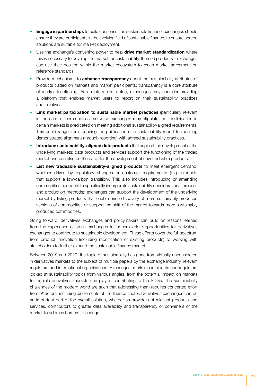- **Engage in partnerships** to build consensus on sustainable finance: exchanges should ensure they are participants in the evolving field of sustainable finance, to ensure agreed solutions are suitable for market deployment.
- Use the exchange's convening power to help drive market standardization where this is necessary to develop the market for sustainability-themed products – exchanges can use their position within the market ecosystem to reach market agreement on reference standards.
- Provide mechanisms to **enhance transparency** about the sustainability attributes of products traded on markets and market participants: transparency is a core attribute of market functioning. As an intermediate step, exchanges may consider providing a platform that enables market users to report on their sustainability practices and initiatives.
- **Link market participation to sustainable market practices (particularly relevant** in the case of commodities markets): exchanges may stipulate that participation in certain markets is predicated on meeting additional sustainability-aligned requirements. This could range from requiring the publication of a sustainability report to requiring demonstrated alignment (through reporting) with agreed sustainability practices.
- **Introduce sustainability-aligned data products** that support the development of the underlying markets: data products and services support the functioning of the traded market and can also be the basis for the development of new tradeable products.
- List new tradeable sustainability-aligned products to meet emergent demand, whether driven by regulatory changes or customer requirements (e.g. products that support a low-carbon transition). This also includes introducing or amending commodities contracts to specifically incorporate sustainability considerations (process and production methods): exchanges can support the development of the underlying market by listing products that enable price discovery of more sustainably produced versions of commodities or support the shift of the market towards more sustainably produced commodities.

Going forward, derivatives exchanges and policymakers can build on lessons learned from the experience of stock exchanges to further explore opportunities for derivatives exchanges to contribute to sustainable development. These efforts cover the full spectrum from product innovation (including modification of existing products) to working with stakeholders to further expand the sustainable finance market.

Between 2019 and 2020, the topic of sustainability has gone from virtually unconsidered in derivatives markets to the subject of multiple papers by the exchange industry, relevant regulators and international organisations. Exchanges, market participants and regulators looked at sustainability topics from various angles, from the potential impact on markets to the role derivatives markets can play in contributing to the SDGs. The sustainability challenges of the modern world are such that addressing them requires concerted effort from *all* actors, including *all* elements of the finance sector. Derivatives exchanges can be an important part of the overall solution, whether as providers of relevant products and services, contributors to greater data availability and transparency or conveners of the market to address barriers to change.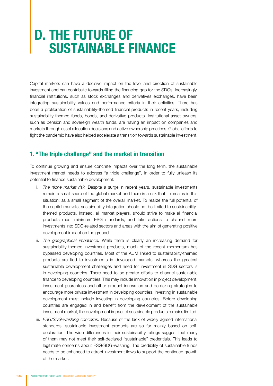### D. THE FUTURE OF SUSTAINABLE FINANCE

Capital markets can have a decisive impact on the level and direction of sustainable investment and can contribute towards filling the financing gap for the SDGs. Increasingly, financial institutions, such as stock exchanges and derivatives exchanges, have been integrating sustainability values and performance criteria in their activities. There has been a proliferation of sustainability-themed financial products in recent years, including sustainability-themed funds, bonds, and derivative products. Institutional asset owners, such as pension and sovereign wealth funds, are having an impact on companies and markets through asset allocation decisions and active ownership practices. Global efforts to fight the pandemic have also helped accelerate a transition towards sustainable investment.

#### 1. "The triple challenge" and the market in transition

To continue growing and ensure concrete impacts over the long term, the sustainable investment market needs to address "a triple challenge", in order to fully unleash its potential to finance sustainable development:

- i. *The niche market risk.* Despite a surge in recent years, sustainable investments remain a small share of the global market and there is a risk that it remains in this situation: as a small segment of the overall market. To realize the full potential of the capital markets, sustainability integration should not be limited to sustainabilitythemed products. Instead, all market players, should strive to make all financial products meet minimum ESG standards, and take actions to channel more investments into SDG-related sectors and areas with the aim of generating positive development impact on the ground.
- ii. *The geographical imbalance.* While there is clearly an increasing demand for sustainability-themed investment products, much of the recent momentum has bypassed developing countries. Most of the AUM linked to sustainability-themed products are tied to investments in developed markets, whereas the greatest sustainable development challenges and need for investment in SDG sectors is in developing countries. There need to be greater efforts to channel sustainable finance to developing countries. This may include innovation in project development, investment guarantees and other product innovation and de-risking strategies to encourage more private investment in developing countries. Investing in sustainable development must include investing in developing countries. Before developing countries are engaged in and benefit from the development of the sustainable investment market, the development impact of sustainable products remains limited.
- iii. *ESG/SDG-washing concerns.* Because of the lack of widely agreed international standards, sustainable investment products are so far mainly based on selfdeclaration. The wide differences in their sustainability ratings suggest that many of them may not meet their self-declared "sustainable" credentials. This leads to legitimate concerns about ESG/SDG-washing. The credibility of sustainable funds needs to be enhanced to attract investment flows to support the continued growth of the market.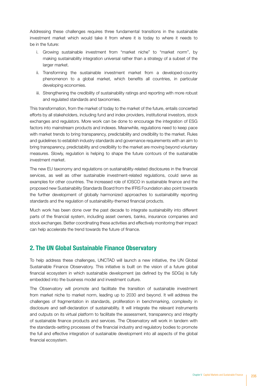Addressing these challenges requires three fundamental transitions in the sustainable investment market which would take it from where it is today to where it needs to be in the future:

- i. Growing sustainable investment from "market niche" to "market norm", by making sustainability integration universal rather than a strategy of a subset of the larger market.
- ii. Transforming the sustainable investment market from a developed-country phenomenon to a global market, which benefits all countries, in particular developing economies.
- iii. Strengthening the credibility of sustainability ratings and reporting with more robust and regulated standards and taxonomies.

This transformation, from the market of today to the market of the future, entails concerted efforts by all stakeholders, including fund and index providers, institutional investors, stock exchanges and regulators. More work can be done to encourage the integration of ESG factors into mainstream products and indexes. Meanwhile, regulations need to keep pace with market trends to bring transparency, predictability and credibility to the market. Rules and guidelines to establish industry standards and governance requirements with an aim to bring transparency, predictability and credibility to the market are moving beyond voluntary measures. Slowly, regulation is helping to shape the future contours of the sustainable investment market.

The new EU taxonomy and regulations on sustainability-related disclosures in the financial services, as well as other sustainable investment-related regulations, could serve as examples for other countries. The increased role of IOSCO in sustainable finance and the proposed new Sustainability Standards Board from the IFRS Foundation also point towards the further development of globally harmonized approaches to sustainability reporting standards and the regulation of sustainability-themed financial products.

Much work has been done over the past decade to integrate sustainability into different parts of the financial system, including asset owners, banks, insurance companies and stock exchanges. Better coordinating these activities and effectively monitoring their impact can help accelerate the trend towards the future of finance.

#### 2. The UN Global Sustainable Finance Observatory

To help address these challenges, UNCTAD will launch a new initiative, the UN Global Sustainable Finance Observatory. This initiative is built on the vision of a future global financial ecosystem in which sustainable development (as defined by the SDGs) is fully embedded into the business model and investment culture.

The Observatory will promote and facilitate the transition of sustainable investment from market niche to market norm, leading up to 2030 and beyond. It will address the challenges of fragmentation in standards, proliferation in benchmarking, complexity in disclosure and self-declaration of sustainability. It will integrate the relevant instruments and outputs on its virtual platform to facilitate the assessment, transparency and integrity of sustainable finance products and services. The Observatory will work in tandem with the standards-setting processes of the financial industry and regulatory bodies to promote the full and effective integration of sustainable development into all aspects of the global financial ecosystem.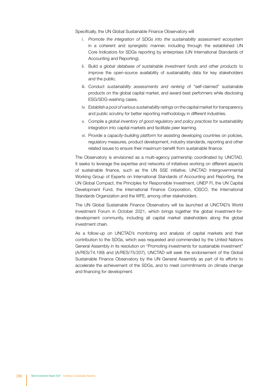Specifically, the UN Global Sustainable Finance Observatory will

- i. *Promote the integration of SDGs into the sustainability assessment ecosystem* in a coherent and synergistic manner, including through the established UN Core Indicators for SDGs reporting by enterprises (UN International Standards of Accounting and Reporting).
- ii. Build a *global database of sustainable investment funds and other products* to improve the open-source availability of sustainability data for key stakeholders and the public.
- iii. Conduct *sustainability assessments and ranking* of "self-claimed" sustainable products on the global capital market, and award best performers while disclosing ESG/SDG-washing cases.
- iv. Establish *a pool of various sustainability ratings* on the capital market for transparency and public scrutiny for better reporting methodology in different industries.
- v. Compile a *global inventory of good regulatory and policy practices* for sustainability integration into capital markets and facilitate peer learning.
- vi. Provide a *capacity-building platform* for assisting developing countries on policies, regulatory measures, product development, industry standards, reporting and other related issues to ensure their maximum benefit from sustainable finance.

The Observatory is envisioned as a multi-agency partnership coordinated by UNCTAD. It seeks to leverage the expertise and networks of initiatives working on different aspects of sustainable finance, such as the UN SSE initiative, UNCTAD Intergovernmental Working Group of Experts on International Standards of Accounting and Reporting, the UN Global Compact, the Principles for Responsible Investment, UNEP FI, the UN Capital Development Fund, the International Finance Corporation, IOSCO, the International Standards Organization and the WFE, among other stakeholders.

The UN Global Sustainable Finance Observatory will be launched at UNCTAD's World Investment Forum in October 2021, which brings together the global investment-fordevelopment community, including all capital market stakeholders along the global investment chain.

As a follow-up on UNCTAD's monitoring and analysis of capital markets and their contribution to the SDGs, which was requested and commended by the United Nations General Assembly in its resolution on "Promoting investments for sustainable investment" (A/RES/74.199) and (A/RES/75/207), UNCTAD will seek the endorsement of the Global Sustainable Finance Observatory by the UN General Assembly as part of its efforts to accelerate the achievement of the SDGs, and to meet commitments on climate change and financing for development.